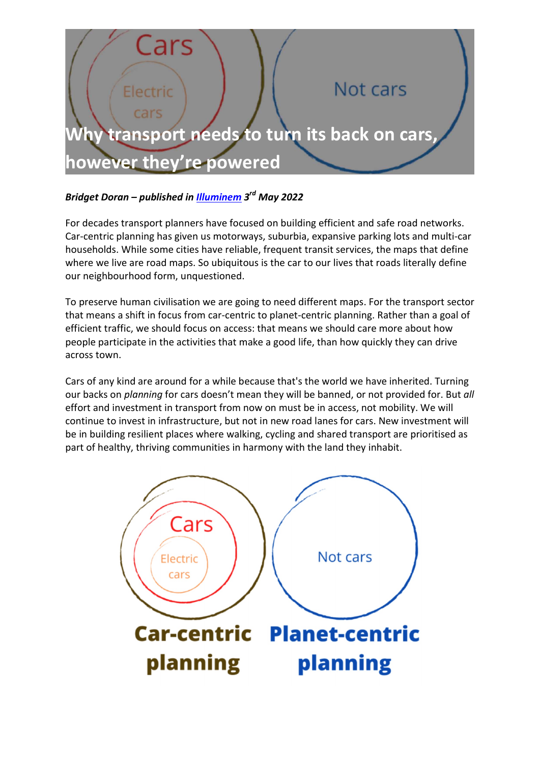

## Bridget Doran – published in **Illuminem** 3<sup>rd</sup> May 2022

For decades transport planners have focused on building efficient and safe road networks. Car-centric planning has given us motorways, suburbia, expansive parking lots and multi-car households. While some cities have reliable, frequent transit services, the maps that define where we live are road maps. So ubiquitous is the car to our lives that roads literally define our neighbourhood form, unquestioned.

To preserve human civilisation we are going to need different maps. For the transport sector that means a shift in focus from car-centric to planet-centric planning. Rather than a goal of efficient traffic, we should focus on access: that means we should care more about how people participate in the activities that make a good life, than how quickly they can drive across town.

Cars of any kind are around for a while because that's the world we have inherited. Turning our backs on planning for cars doesn't mean they will be banned, or not provided for. But all effort and investment in transport from now on must be in access, not mobility. We will continue to invest in infrastructure, but not in new road lanes for cars. New investment will be in building resilient places where walking, cycling and shared transport are prioritised as part of healthy, thriving communities in harmony with the land they inhabit.